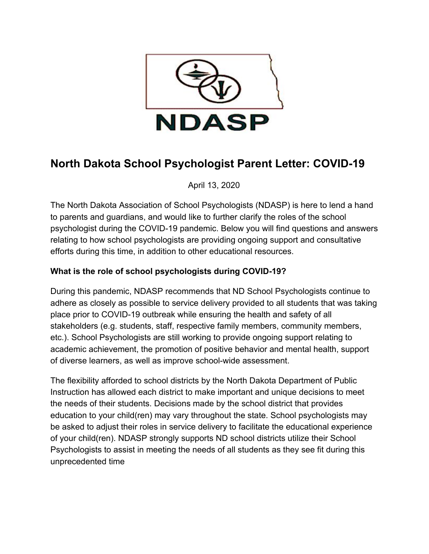

# **North Dakota School Psychologist Parent Letter: COVID-19**

April 13, 2020

The North Dakota Association of School Psychologists (NDASP) is here to lend a hand to parents and guardians, and would like to further clarify the roles of the school psychologist during the COVID-19 pandemic. Below you will find questions and answers relating to how school psychologists are providing ongoing support and consultative efforts during this time, in addition to other educational resources.

## **What is the role of school psychologists during COVID-19?**

During this pandemic, NDASP recommends that ND School Psychologists continue to adhere as closely as possible to service delivery provided to all students that was taking place prior to COVID-19 outbreak while ensuring the health and safety of all stakeholders (e.g. students, staff, respective family members, community members, etc.). School Psychologists are still working to provide ongoing support relating to academic achievement, the promotion of positive behavior and mental health, support of diverse learners, as well as improve school-wide assessment.

The flexibility afforded to school districts by the North Dakota Department of Public Instruction has allowed each district to make important and unique decisions to meet the needs of their students. Decisions made by the school district that provides education to your child(ren) may vary throughout the state. School psychologists may be asked to adjust their roles in service delivery to facilitate the educational experience of your child(ren). NDASP strongly supports ND school districts utilize their School Psychologists to assist in meeting the needs of all students as they see fit during this unprecedented time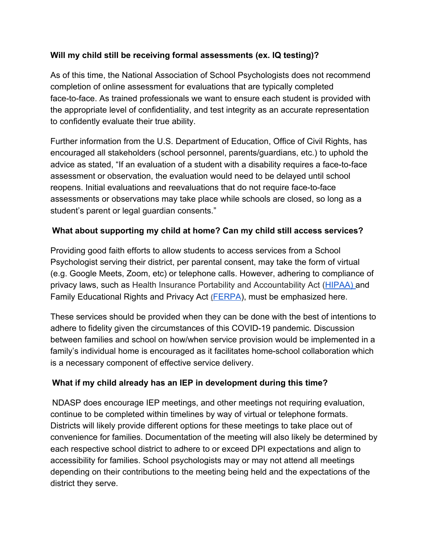#### **Will my child still be receiving formal assessments (ex. IQ testing)?**

As of this time, the National Association of School Psychologists does not recommend completion of online assessment for evaluations that are typically completed face-to-face. As trained professionals we want to ensure each student is provided with the appropriate level of confidentiality, and test integrity as an accurate representation to confidently evaluate their true ability.

Further information from the U.S. Department of Education, Office of Civil Rights, has encouraged all stakeholders (school personnel, parents/guardians, etc.) to uphold the advice as stated, "If an evaluation of a student with a disability requires a face-to-face assessment or observation, the evaluation would need to be delayed until school reopens. Initial evaluations and reevaluations that do not require face-to-face assessments or observations may take place while schools are closed, so long as a student's parent or legal guardian consents."

### **What about supporting my child at home? Can my child still access services?**

Providing good faith efforts to allow students to access services from a School Psychologist serving their district, per parental consent, may take the form of virtual (e.g. Google Meets, Zoom, etc) or telephone calls. However, adhering to compliance of privacy laws, such as Health Insurance Portability and Accountability Act ([HIPAA\) a](https://www.nd.gov/dpi/education-programs/special-education)n[d](https://www.nd.gov/dpi/education-programs/special-education) [Family Educational Rights and Privacy Act](https://www.nd.gov/dpi/education-programs/special-education) **[\(](https://www.nd.gov/dpi/education-programs/special-education)**[FERPA](https://www.nd.gov/dpi/education-programs/special-education)), must be emphasized here.

These services should be provided when they can be done with the best of intentions to adhere to fidelity given the circumstances of this COVID-19 pandemic. Discussion between families and school on how/when service provision would be implemented in a family's individual home is encouraged as it facilitates home-school collaboration which is a necessary component of effective service delivery.

### **What if my child already has an IEP in development during this time?**

NDASP does encourage IEP meetings, and other meetings not requiring evaluation, continue to be completed within timelines by way of virtual or telephone formats. Districts will likely provide different options for these meetings to take place out of convenience for families. Documentation of the meeting will also likely be determined by each respective school district to adhere to or exceed DPI expectations and align to accessibility for families. School psychologists may or may not attend all meetings depending on their contributions to the meeting being held and the expectations of the district they serve.